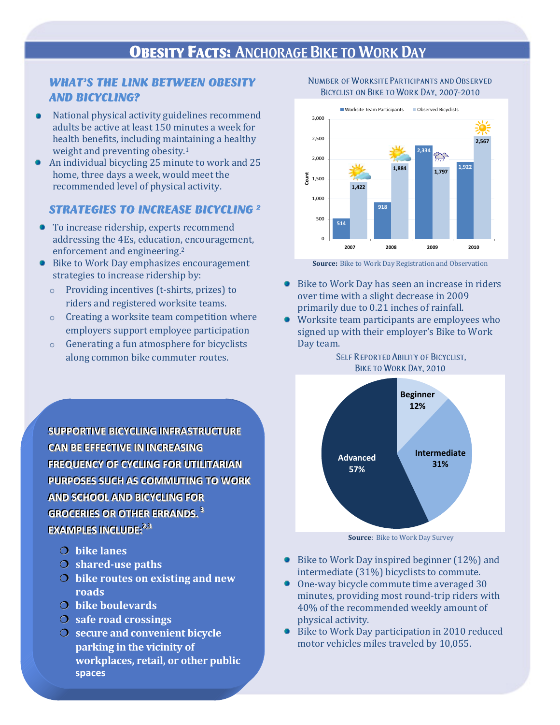# **OBESITY FACTS: ANCHORAGE BIKE TO WORK DAY**

## **WHAT'S THE LINK BETWEEN OBESITY AND BICYCLING?**

- National physical activity guidelines recommend adults be active at least 150 minutes a week for health benefits, including maintaining a healthy weight and preventing obesity.<sup>1</sup>
- An individual bicycling 25 minute to work and 25  $\bullet$ home, three days a week, would meet the recommended level of physical activity.

### **STRATEGIES TO INCREASE BICYCLING 2**

- To increase ridership, experts recommend addressing the 4Es, education, encouragement, enforcement and engineering.<sup>2</sup>
- Bike to Work Day emphasizes encouragement strategies to increase ridership by:
	- o Providing incentives (t-shirts, prizes) to riders and registered worksite teams.
	- o Creating a worksite team competition where employers support employee participation
	- o Generating a fun atmosphere for bicyclists along common bike commuter routes.

**SUPPORTIVE BICYCLING INFRASTRUCTURE CAN BE EFFECTIVE IN INCREASING FREQUENCY OF CYCLING FOR UTILITARIAN PURPOSES SUCH AS COMMUTING TO WORK AND SCHOOL AND BICYCLING FOR** GROCERIES OR OTHER ERRANDS.<sup>3</sup> **EXAMPLES INCLUDE:**<sup>2,3</sup>

- **bike lanes**
- **shared-use paths**
- **bike routes on existing and new roads**
- **bike boulevards**
- **safe road crossings**
- **secure and convenient bicycle**  spaces **spacesparking in the vicinity of workplaces, retail, or other public**

#### NUMBER OF WORKSITE PARTICIPANTS AND OBSERVED BICYCLIST ON BIKE TO WORK DAY, 2007-2010



**Source:** Bike to Work Day Registration and Observation

- Bike to Work Day has seen an increase in riders over time with a slight decrease in 2009 primarily due to 0.21 inches of rainfall.
- Worksite team participants are employees who signed up with their employer's Bike to Work Day team.

SELF REPORTED ABILITY OF BICYCLIST,



**Source**: Bike to Work Day Survey

- Bike to Work Day inspired beginner (12%) and intermediate (31%) bicyclists to commute.
- One-way bicycle commute time averaged 30 minutes, providing most round-trip riders with 40% of the recommended weekly amount of physical activity.
- Bike to Work Day participation in 2010 reduced motor vehicles miles traveled by 10,055.